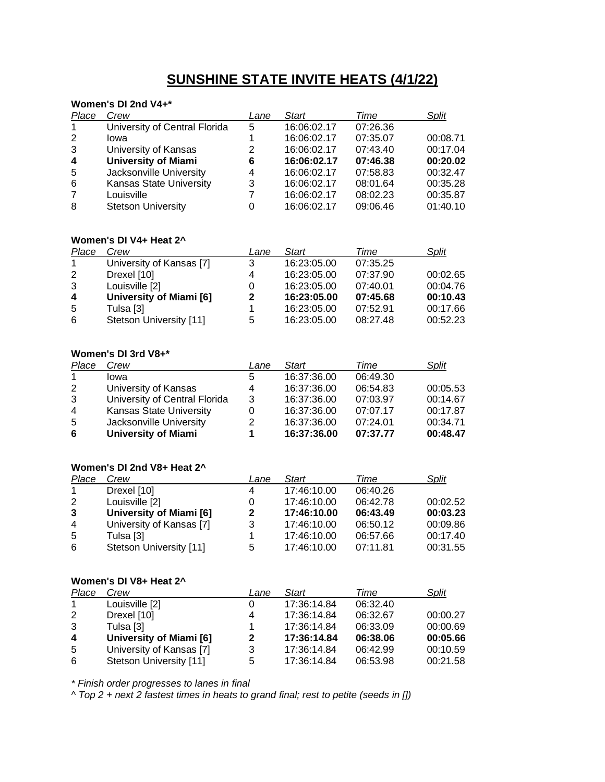# **SUNSHINE STATE INVITE HEATS (4/1/22)**

### **Women's DI 2nd V4+\***

| Place                   | Crew                           | Lane | <b>Start</b> | Time     | Split    |
|-------------------------|--------------------------------|------|--------------|----------|----------|
| $\mathbf{1}$            | University of Central Florida  | 5    | 16:06:02.17  | 07:26.36 |          |
| 2                       | lowa                           |      | 16:06:02.17  | 07:35.07 | 00:08.71 |
| 3                       | University of Kansas           | 2    | 16:06:02.17  | 07:43.40 | 00:17.04 |
| $\overline{\mathbf{4}}$ | <b>University of Miami</b>     | 6    | 16:06:02.17  | 07:46.38 | 00:20.02 |
| 5                       | Jacksonville University        | 4    | 16:06:02.17  | 07:58.83 | 00:32.47 |
| 6                       | <b>Kansas State University</b> | 3    | 16:06:02.17  | 08:01.64 | 00:35.28 |
| $\overline{7}$          | Louisville                     | 7    | 16:06:02.17  | 08:02.23 | 00:35.87 |
| 8                       | <b>Stetson University</b>      | 0    | 16:06:02.17  | 09:06.46 | 01:40.10 |

## **Women's DI V4+ Heat 2^**

| Place        | Crew                     | Lane | <b>Start</b> | Time     | Split    |
|--------------|--------------------------|------|--------------|----------|----------|
| $\mathbf{1}$ | University of Kansas [7] | 3    | 16:23:05.00  | 07:35.25 |          |
| 2            | Drexel [10]              | 4    | 16:23:05.00  | 07:37.90 | 00:02.65 |
| 3            | Louisville [2]           | 0    | 16:23:05.00  | 07:40.01 | 00:04.76 |
| 4            | University of Miami [6]  | 2    | 16:23:05.00  | 07:45.68 | 00:10.43 |
| -5           | Tulsa [3]                |      | 16:23:05.00  | 07:52.91 | 00:17.66 |
| 6            | Stetson University [11]  | 5    | 16:23:05.00  | 08:27.48 | 00:52.23 |

### **Women's DI 3rd V8+\***

| Place          | Crew                           | Lane | Start       | Time     | Split    |
|----------------|--------------------------------|------|-------------|----------|----------|
|                | lowa                           | 5    | 16:37:36.00 | 06:49.30 |          |
| 2              | University of Kansas           | 4    | 16:37:36.00 | 06:54.83 | 00:05.53 |
| 3              | University of Central Florida  | 3    | 16:37:36.00 | 07:03.97 | 00:14.67 |
| $\overline{4}$ | <b>Kansas State University</b> | 0    | 16:37:36.00 | 07:07.17 | 00:17.87 |
| -5             | Jacksonville University        | 2    | 16:37:36.00 | 07:24.01 | 00:34.71 |
| 6              | <b>University of Miami</b>     | 1    | 16:37:36.00 | 07:37.77 | 00:48.47 |

### **Women's DI 2nd V8+ Heat 2^**

| Place          | Crew                           | Lane         | <b>Start</b> | Time     | Split    |
|----------------|--------------------------------|--------------|--------------|----------|----------|
|                | Drexel [10]                    | 4            | 17:46:10.00  | 06:40.26 |          |
| 2              | Louisville [2]                 | 0            | 17:46:10.00  | 06:42.78 | 00:02.52 |
| 3              | <b>University of Miami [6]</b> | $\mathbf{2}$ | 17:46:10.00  | 06:43.49 | 00:03.23 |
| $\overline{4}$ | University of Kansas [7]       | 3            | 17:46:10.00  | 06:50.12 | 00:09.86 |
| -5             | Tulsa [3]                      |              | 17:46:10.00  | 06:57.66 | 00:17.40 |
| 6              | Stetson University [11]        | 5            | 17:46:10.00  | 07:11.81 | 00:31.55 |

#### **Women's DI V8+ Heat 2^**

| Place        | Crew                     | Lane | Start       | Time     | Split    |
|--------------|--------------------------|------|-------------|----------|----------|
| $\mathbf{1}$ | Louisville [2]           | 0    | 17:36:14.84 | 06:32.40 |          |
| 2            | Drexel [10]              | 4    | 17:36:14.84 | 06:32.67 | 00:00.27 |
| 3            | Tulsa [3]                |      | 17:36:14.84 | 06:33.09 | 00:00.69 |
| 4            | University of Miami [6]  | 2    | 17:36:14.84 | 06:38.06 | 00:05.66 |
| -5           | University of Kansas [7] | 3    | 17:36:14.84 | 06:42.99 | 00:10.59 |
| 6            | Stetson University [11]  | 5    | 17:36:14.84 | 06:53.98 | 00:21.58 |

*\* Finish order progresses to lanes in final*

*^ Top 2 + next 2 fastest times in heats to grand final; rest to petite (seeds in [])*